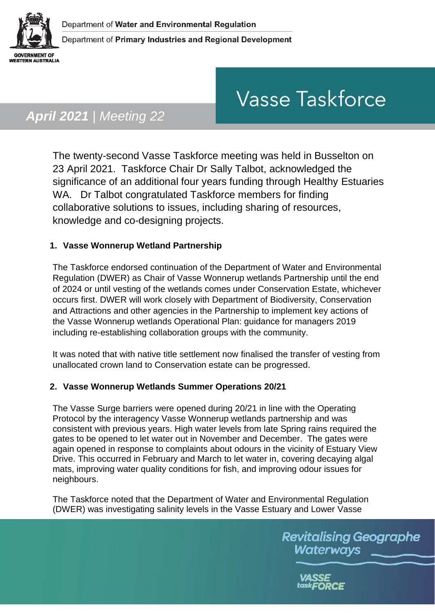

# **Vasse Taskforce**

# *April 2021 | Meeting 22*

The twenty-second Vasse Taskforce meeting was held in Busselton on 23 April 2021. Taskforce Chair Dr Sally Talbot, acknowledged the significance of an additional four years funding through Healthy Estuaries WA. Dr Talbot congratulated Taskforce members for finding collaborative solutions to issues, including sharing of resources, knowledge and co-designing projects.

## **1. Vasse Wonnerup Wetland Partnership**

The Taskforce endorsed continuation of the Department of Water and Environmental Regulation (DWER) as Chair of Vasse Wonnerup wetlands Partnership until the end of 2024 or until vesting of the wetlands comes under Conservation Estate, whichever occurs first. DWER will work closely with Department of Biodiversity, Conservation and Attractions and other agencies in the Partnership to implement key actions of the Vasse Wonnerup wetlands Operational Plan: guidance for managers 2019 including re-establishing collaboration groups with the community.

It was noted that with native title settlement now finalised the transfer of vesting from unallocated crown land to Conservation estate can be progressed.

### **2. Vasse Wonnerup Wetlands Summer Operations 20/21**

The Vasse Surge barriers were opened during 20/21 in line with the Operating Protocol by the interagency Vasse Wonnerup wetlands partnership and was consistent with previous years. High water levels from late Spring rains required the gates to be opened to let water out in November and December. The gates were again opened in response to complaints about odours in the vicinity of Estuary View Drive. This occurred in February and March to let water in, covering decaying algal mats, improving water quality conditions for fish, and improving odour issues for neighbours.

The Taskforce noted that the Department of Water and Environmental Regulation (DWER) was investigating salinity levels in the Vasse Estuary and Lower Vasse

> **Revitalising Geographe** Waterways

> > VASSE task**FORCE**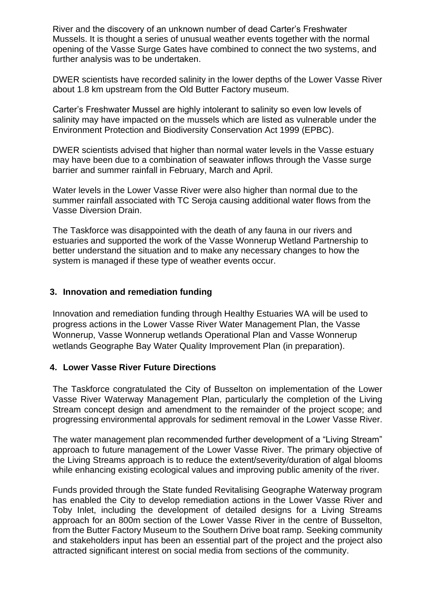River and the discovery of an unknown number of dead Carter's Freshwater Mussels. It is thought a series of unusual weather events together with the normal opening of the Vasse Surge Gates have combined to connect the two systems, and further analysis was to be undertaken.

DWER scientists have recorded salinity in the lower depths of the Lower Vasse River about 1.8 km upstream from the Old Butter Factory museum.

Carter's Freshwater Mussel are highly intolerant to salinity so even low levels of salinity may have impacted on the mussels which are listed as vulnerable under the Environment Protection and Biodiversity Conservation Act 1999 (EPBC).

DWER scientists advised that higher than normal water levels in the Vasse estuary may have been due to a combination of seawater inflows through the Vasse surge barrier and summer rainfall in February, March and April.

Water levels in the Lower Vasse River were also higher than normal due to the summer rainfall associated with TC Seroja causing additional water flows from the Vasse Diversion Drain.

The Taskforce was disappointed with the death of any fauna in our rivers and estuaries and supported the work of the Vasse Wonnerup Wetland Partnership to better understand the situation and to make any necessary changes to how the system is managed if these type of weather events occur.

#### **3. Innovation and remediation funding**

Innovation and remediation funding through Healthy Estuaries WA will be used to progress actions in the Lower Vasse River Water Management Plan, the Vasse Wonnerup, Vasse Wonnerup wetlands Operational Plan and Vasse Wonnerup wetlands Geographe Bay Water Quality Improvement Plan (in preparation).

#### **4. Lower Vasse River Future Directions**

The Taskforce congratulated the City of Busselton on implementation of the Lower Vasse River Waterway Management Plan, particularly the completion of the Living Stream concept design and amendment to the remainder of the project scope; and progressing environmental approvals for sediment removal in the Lower Vasse River.

The water management plan recommended further development of a "Living Stream" approach to future management of the Lower Vasse River. The primary objective of the Living Streams approach is to reduce the extent/severity/duration of algal blooms while enhancing existing ecological values and improving public amenity of the river.

Funds provided through the State funded Revitalising Geographe Waterway program has enabled the City to develop remediation actions in the Lower Vasse River and Toby Inlet, including the development of detailed designs for a Living Streams approach for an 800m section of the Lower Vasse River in the centre of Busselton, from the Butter Factory Museum to the Southern Drive boat ramp. Seeking community and stakeholders input has been an essential part of the project and the project also attracted significant interest on social media from sections of the community.